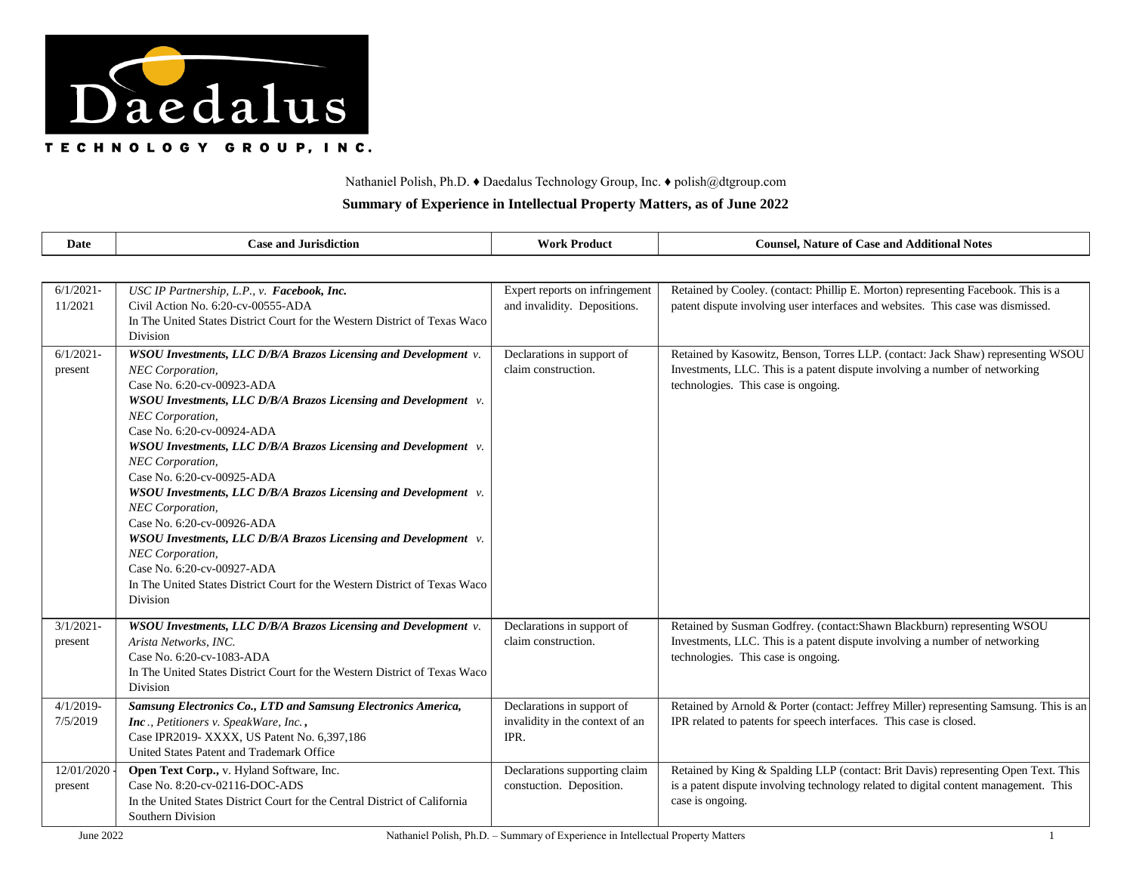

## Nathaniel Polish, Ph.D. ♦ Daedalus Technology Group, Inc. ♦ polish@dtgroup.com

## **Summary of Experience in Intellectual Property Matters, as of June 2022**

| Date                     | <b>Case and Jurisdiction</b>                                                                                                                                                                                                                                                                                                                                                                                                                                                                                                                                                                                                                                                                           | <b>Work Product</b>                                                   | <b>Counsel, Nature of Case and Additional Notes</b>                                                                                                                                                    |
|--------------------------|--------------------------------------------------------------------------------------------------------------------------------------------------------------------------------------------------------------------------------------------------------------------------------------------------------------------------------------------------------------------------------------------------------------------------------------------------------------------------------------------------------------------------------------------------------------------------------------------------------------------------------------------------------------------------------------------------------|-----------------------------------------------------------------------|--------------------------------------------------------------------------------------------------------------------------------------------------------------------------------------------------------|
|                          |                                                                                                                                                                                                                                                                                                                                                                                                                                                                                                                                                                                                                                                                                                        |                                                                       |                                                                                                                                                                                                        |
| $6/1/2021 -$<br>11/2021  | USC IP Partnership, L.P., v. Facebook, Inc.<br>Civil Action No. 6:20-cv-00555-ADA<br>In The United States District Court for the Western District of Texas Waco<br>Division                                                                                                                                                                                                                                                                                                                                                                                                                                                                                                                            | Expert reports on infringement<br>and invalidity. Depositions.        | Retained by Cooley. (contact: Phillip E. Morton) representing Facebook. This is a<br>patent dispute involving user interfaces and websites. This case was dismissed.                                   |
| $6/1/2021 -$<br>present  | WSOU Investments, LLC D/B/A Brazos Licensing and Development v.<br>NEC Corporation,<br>Case No. 6:20-cv-00923-ADA<br>WSOU Investments, LLC D/B/A Brazos Licensing and Development v.<br>NEC Corporation,<br>Case No. 6:20-cv-00924-ADA<br>WSOU Investments, LLC D/B/A Brazos Licensing and Development v.<br>NEC Corporation,<br>Case No. 6:20-cv-00925-ADA<br>WSOU Investments, LLC D/B/A Brazos Licensing and Development v.<br><b>NEC</b> Corporation,<br>Case No. 6:20-cv-00926-ADA<br>WSOU Investments, LLC D/B/A Brazos Licensing and Development v.<br>NEC Corporation,<br>Case No. 6:20-cv-00927-ADA<br>In The United States District Court for the Western District of Texas Waco<br>Division | Declarations in support of<br>claim construction.                     | Retained by Kasowitz, Benson, Torres LLP. (contact: Jack Shaw) representing WSOU<br>Investments, LLC. This is a patent dispute involving a number of networking<br>technologies. This case is ongoing. |
| $3/1/2021 -$<br>present  | WSOU Investments, LLC D/B/A Brazos Licensing and Development v.<br>Arista Networks, INC.<br>Case No. 6:20-cv-1083-ADA<br>In The United States District Court for the Western District of Texas Waco<br>Division                                                                                                                                                                                                                                                                                                                                                                                                                                                                                        | Declarations in support of<br>claim construction.                     | Retained by Susman Godfrey. (contact:Shawn Blackburn) representing WSOU<br>Investments, LLC. This is a patent dispute involving a number of networking<br>technologies. This case is ongoing.          |
| $4/1/2019$ -<br>7/5/2019 | Samsung Electronics Co., LTD and Samsung Electronics America,<br>Inc., Petitioners v. SpeakWare, Inc.,<br>Case IPR2019- XXXX, US Patent No. 6,397,186<br>United States Patent and Trademark Office                                                                                                                                                                                                                                                                                                                                                                                                                                                                                                     | Declarations in support of<br>invalidity in the context of an<br>IPR. | Retained by Arnold & Porter (contact: Jeffrey Miller) representing Samsung. This is an<br>IPR related to patents for speech interfaces. This case is closed.                                           |
| 12/01/2020<br>present    | Open Text Corp., v. Hyland Software, Inc.<br>Case No. 8:20-cv-02116-DOC-ADS<br>In the United States District Court for the Central District of California<br>Southern Division                                                                                                                                                                                                                                                                                                                                                                                                                                                                                                                         | Declarations supporting claim<br>constuction. Deposition.             | Retained by King & Spalding LLP (contact: Brit Davis) representing Open Text. This<br>is a patent dispute involving technology related to digital content management. This<br>case is ongoing.         |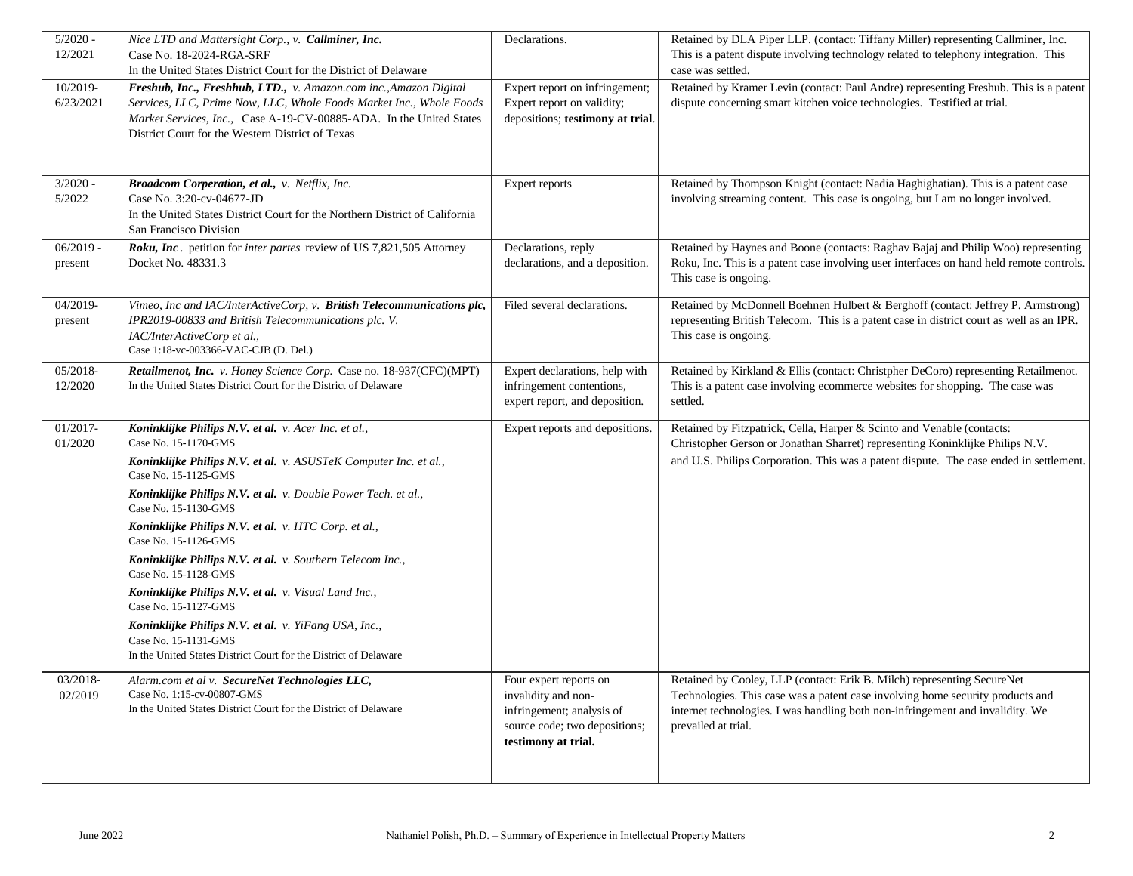| $5/2020 -$  | Nice LTD and Mattersight Corp., v. Callminer, Inc.                                                                                         | Declarations.                                                  | Retained by DLA Piper LLP. (contact: Tiffany Miller) representing Callminer, Inc.         |
|-------------|--------------------------------------------------------------------------------------------------------------------------------------------|----------------------------------------------------------------|-------------------------------------------------------------------------------------------|
| 12/2021     | Case No. 18-2024-RGA-SRF                                                                                                                   |                                                                | This is a patent dispute involving technology related to telephony integration. This      |
|             | In the United States District Court for the District of Delaware                                                                           |                                                                | case was settled.                                                                         |
| 10/2019-    | Freshub, Inc., Freshhub, LTD., v. Amazon.com inc., Amazon Digital                                                                          | Expert report on infringement;                                 | Retained by Kramer Levin (contact: Paul Andre) representing Freshub. This is a patent     |
| 6/23/2021   | Services, LLC, Prime Now, LLC, Whole Foods Market Inc., Whole Foods<br>Market Services, Inc., Case A-19-CV-00885-ADA. In the United States | Expert report on validity;<br>depositions; testimony at trial. | dispute concerning smart kitchen voice technologies. Testified at trial.                  |
|             | District Court for the Western District of Texas                                                                                           |                                                                |                                                                                           |
|             |                                                                                                                                            |                                                                |                                                                                           |
|             |                                                                                                                                            |                                                                |                                                                                           |
| $3/2020 -$  | Broadcom Corperation, et al., v. Netflix, Inc.                                                                                             | Expert reports                                                 | Retained by Thompson Knight (contact: Nadia Haghighatian). This is a patent case          |
| 5/2022      | Case No. 3:20-cv-04677-JD                                                                                                                  |                                                                | involving streaming content. This case is ongoing, but I am no longer involved.           |
|             | In the United States District Court for the Northern District of California                                                                |                                                                |                                                                                           |
|             | San Francisco Division                                                                                                                     |                                                                |                                                                                           |
| $06/2019 -$ | Roku, Inc. petition for inter partes review of US 7,821,505 Attorney                                                                       | Declarations, reply                                            | Retained by Haynes and Boone (contacts: Raghav Bajaj and Philip Woo) representing         |
| present     | Docket No. 48331.3                                                                                                                         | declarations, and a deposition.                                | Roku, Inc. This is a patent case involving user interfaces on hand held remote controls.  |
|             |                                                                                                                                            |                                                                | This case is ongoing.                                                                     |
| 04/2019-    | Vimeo, Inc and IAC/InterActiveCorp, v. British Telecommunications plc,                                                                     | Filed several declarations.                                    | Retained by McDonnell Boehnen Hulbert & Berghoff (contact: Jeffrey P. Armstrong)          |
| present     | IPR2019-00833 and British Telecommunications plc. V.                                                                                       |                                                                | representing British Telecom. This is a patent case in district court as well as an IPR.  |
|             | IAC/InterActiveCorp et al.,                                                                                                                |                                                                | This case is ongoing.                                                                     |
|             | Case 1:18-vc-003366-VAC-CJB (D. Del.)                                                                                                      |                                                                |                                                                                           |
| 05/2018-    | Retailmenot, Inc. v. Honey Science Corp. Case no. 18-937(CFC)(MPT)                                                                         | Expert declarations, help with                                 | Retained by Kirkland & Ellis (contact: Christpher DeCoro) representing Retailmenot.       |
| 12/2020     | In the United States District Court for the District of Delaware                                                                           | infringement contentions,<br>expert report, and deposition.    | This is a patent case involving ecommerce websites for shopping. The case was<br>settled. |
|             |                                                                                                                                            |                                                                |                                                                                           |
| 01/2017-    | Koninklijke Philips N.V. et al. v. Acer Inc. et al.,                                                                                       | Expert reports and depositions.                                | Retained by Fitzpatrick, Cella, Harper & Scinto and Venable (contacts:                    |
| 01/2020     | Case No. 15-1170-GMS                                                                                                                       |                                                                | Christopher Gerson or Jonathan Sharret) representing Koninklijke Philips N.V.             |
|             | Koninklijke Philips N.V. et al. v. ASUSTeK Computer Inc. et al.,<br>Case No. 15-1125-GMS                                                   |                                                                | and U.S. Philips Corporation. This was a patent dispute. The case ended in settlement.    |
|             | Koninklijke Philips N.V. et al. v. Double Power Tech. et al.,<br>Case No. 15-1130-GMS                                                      |                                                                |                                                                                           |
|             | Koninklijke Philips N.V. et al. v. HTC Corp. et al.,<br>Case No. 15-1126-GMS                                                               |                                                                |                                                                                           |
|             | Koninklijke Philips N.V. et al. v. Southern Telecom Inc.,<br>Case No. 15-1128-GMS                                                          |                                                                |                                                                                           |
|             | Koninklijke Philips N.V. et al. v. Visual Land Inc.,<br>Case No. 15-1127-GMS                                                               |                                                                |                                                                                           |
|             | Koninklijke Philips N.V. et al. v. YiFang USA, Inc.,                                                                                       |                                                                |                                                                                           |
|             | Case No. 15-1131-GMS                                                                                                                       |                                                                |                                                                                           |
|             | In the United States District Court for the District of Delaware                                                                           |                                                                |                                                                                           |
| 03/2018-    | Alarm.com et al v. SecureNet Technologies LLC,                                                                                             | Four expert reports on                                         | Retained by Cooley, LLP (contact: Erik B. Milch) representing SecureNet                   |
| 02/2019     | Case No. 1:15-cv-00807-GMS                                                                                                                 | invalidity and non-                                            | Technologies. This case was a patent case involving home security products and            |
|             | In the United States District Court for the District of Delaware                                                                           | infringement; analysis of                                      | internet technologies. I was handling both non-infringement and invalidity. We            |
|             |                                                                                                                                            | source code; two depositions;                                  | prevailed at trial.                                                                       |
|             |                                                                                                                                            | testimony at trial.                                            |                                                                                           |
|             |                                                                                                                                            |                                                                |                                                                                           |
|             |                                                                                                                                            |                                                                |                                                                                           |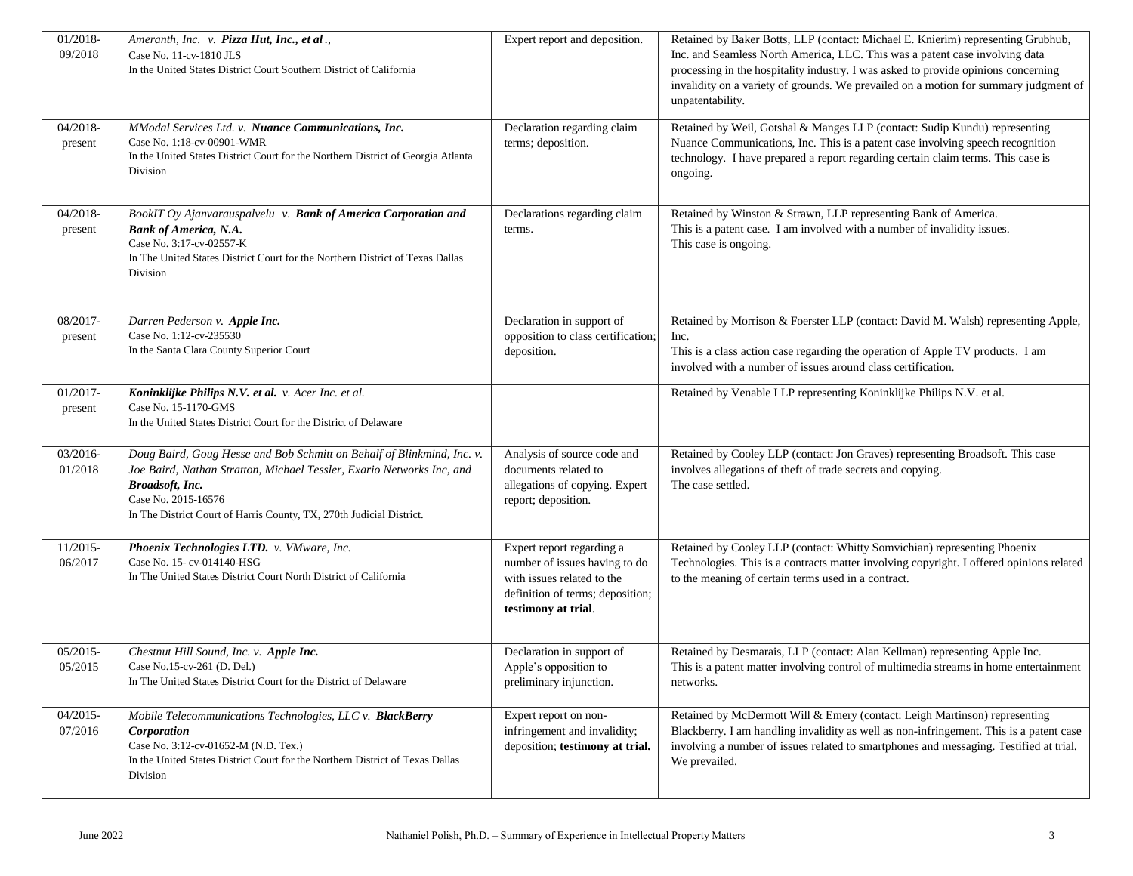| 01/2018-<br>09/2018    | Ameranth, Inc. v. Pizza Hut, Inc., et al.,<br>Case No. 11-cv-1810 JLS<br>In the United States District Court Southern District of California                                                                                                                      | Expert report and deposition.                                                                                                                       | Retained by Baker Botts, LLP (contact: Michael E. Knierim) representing Grubhub,<br>Inc. and Seamless North America, LLC. This was a patent case involving data<br>processing in the hospitality industry. I was asked to provide opinions concerning<br>invalidity on a variety of grounds. We prevailed on a motion for summary judgment of<br>unpatentability. |
|------------------------|-------------------------------------------------------------------------------------------------------------------------------------------------------------------------------------------------------------------------------------------------------------------|-----------------------------------------------------------------------------------------------------------------------------------------------------|-------------------------------------------------------------------------------------------------------------------------------------------------------------------------------------------------------------------------------------------------------------------------------------------------------------------------------------------------------------------|
| 04/2018-<br>present    | MModal Services Ltd. v. Nuance Communications, Inc.<br>Case No. 1:18-cv-00901-WMR<br>In the United States District Court for the Northern District of Georgia Atlanta<br>Division                                                                                 | Declaration regarding claim<br>terms; deposition.                                                                                                   | Retained by Weil, Gotshal & Manges LLP (contact: Sudip Kundu) representing<br>Nuance Communications, Inc. This is a patent case involving speech recognition<br>technology. I have prepared a report regarding certain claim terms. This case is<br>ongoing.                                                                                                      |
| 04/2018-<br>present    | BookIT Oy Ajanvarauspalvelu v. Bank of America Corporation and<br><b>Bank of America, N.A.</b><br>Case No. 3:17-cv-02557-K<br>In The United States District Court for the Northern District of Texas Dallas<br>Division                                           | Declarations regarding claim<br>terms.                                                                                                              | Retained by Winston & Strawn, LLP representing Bank of America.<br>This is a patent case. I am involved with a number of invalidity issues.<br>This case is ongoing.                                                                                                                                                                                              |
| 08/2017-<br>present    | Darren Pederson v. Apple Inc.<br>Case No. 1:12-cv-235530<br>In the Santa Clara County Superior Court                                                                                                                                                              | Declaration in support of<br>opposition to class certification;<br>deposition.                                                                      | Retained by Morrison & Foerster LLP (contact: David M. Walsh) representing Apple,<br>Inc.<br>This is a class action case regarding the operation of Apple TV products. I am<br>involved with a number of issues around class certification.                                                                                                                       |
| $01/2017 -$<br>present | Koninklijke Philips N.V. et al. v. Acer Inc. et al.<br>Case No. 15-1170-GMS<br>In the United States District Court for the District of Delaware                                                                                                                   |                                                                                                                                                     | Retained by Venable LLP representing Koninklijke Philips N.V. et al.                                                                                                                                                                                                                                                                                              |
| 03/2016-<br>01/2018    | Doug Baird, Goug Hesse and Bob Schmitt on Behalf of Blinkmind, Inc. v.<br>Joe Baird, Nathan Stratton, Michael Tessler, Exario Networks Inc, and<br>Broadsoft, Inc.<br>Case No. 2015-16576<br>In The District Court of Harris County, TX, 270th Judicial District. | Analysis of source code and<br>documents related to<br>allegations of copying. Expert<br>report; deposition.                                        | Retained by Cooley LLP (contact: Jon Graves) representing Broadsoft. This case<br>involves allegations of theft of trade secrets and copying.<br>The case settled.                                                                                                                                                                                                |
| 11/2015-<br>06/2017    | Phoenix Technologies LTD. v. VMware, Inc.<br>Case No. 15-cv-014140-HSG<br>In The United States District Court North District of California                                                                                                                        | Expert report regarding a<br>number of issues having to do<br>with issues related to the<br>definition of terms; deposition;<br>testimony at trial. | Retained by Cooley LLP (contact: Whitty Somvichian) representing Phoenix<br>Technologies. This is a contracts matter involving copyright. I offered opinions related<br>to the meaning of certain terms used in a contract.                                                                                                                                       |
| $05/2015-$<br>05/2015  | Chestnut Hill Sound, Inc. v. Apple Inc.<br>Case No.15-cv-261 (D. Del.)<br>In The United States District Court for the District of Delaware                                                                                                                        | Declaration in support of<br>Apple's opposition to<br>preliminary injunction.                                                                       | Retained by Desmarais, LLP (contact: Alan Kellman) representing Apple Inc.<br>This is a patent matter involving control of multimedia streams in home entertainment<br>networks.                                                                                                                                                                                  |
| $04/2015-$<br>07/2016  | Mobile Telecommunications Technologies, LLC v. BlackBerry<br>Corporation<br>Case No. 3:12-cv-01652-M (N.D. Tex.)<br>In the United States District Court for the Northern District of Texas Dallas<br>Division                                                     | Expert report on non-<br>infringement and invalidity;<br>deposition; testimony at trial.                                                            | Retained by McDermott Will & Emery (contact: Leigh Martinson) representing<br>Blackberry. I am handling invalidity as well as non-infringement. This is a patent case<br>involving a number of issues related to smartphones and messaging. Testified at trial.<br>We prevailed.                                                                                  |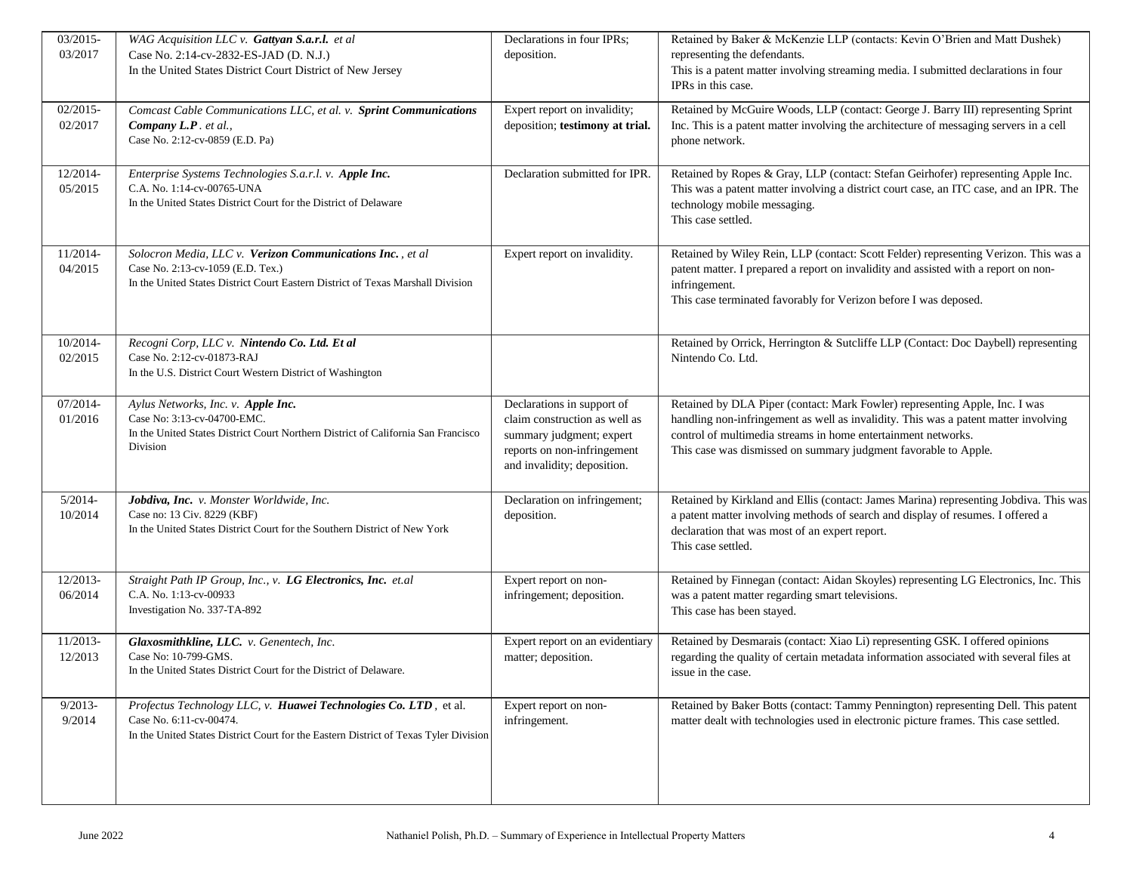| 03/2015-   | WAG Acquisition LLC v. Gattyan S.a.r.l. et al                                        | Declarations in four IPRs;      | Retained by Baker & McKenzie LLP (contacts: Kevin O'Brien and Matt Dushek)             |
|------------|--------------------------------------------------------------------------------------|---------------------------------|----------------------------------------------------------------------------------------|
| 03/2017    | Case No. 2:14-cv-2832-ES-JAD (D. N.J.)                                               | deposition.                     | representing the defendants.                                                           |
|            | In the United States District Court District of New Jersey                           |                                 | This is a patent matter involving streaming media. I submitted declarations in four    |
|            |                                                                                      |                                 | IPRs in this case.                                                                     |
|            |                                                                                      |                                 |                                                                                        |
| 02/2015-   | Comcast Cable Communications LLC, et al. v. Sprint Communications                    | Expert report on invalidity;    | Retained by McGuire Woods, LLP (contact: George J. Barry III) representing Sprint      |
| 02/2017    | Company L.P. et al.,                                                                 | deposition; testimony at trial. | Inc. This is a patent matter involving the architecture of messaging servers in a cell |
|            | Case No. 2:12-cv-0859 (E.D. Pa)                                                      |                                 | phone network.                                                                         |
|            |                                                                                      |                                 |                                                                                        |
| 12/2014-   | Enterprise Systems Technologies S.a.r.l. v. Apple Inc.                               | Declaration submitted for IPR.  | Retained by Ropes & Gray, LLP (contact: Stefan Geirhofer) representing Apple Inc.      |
| 05/2015    | C.A. No. 1:14-cv-00765-UNA                                                           |                                 | This was a patent matter involving a district court case, an ITC case, and an IPR. The |
|            | In the United States District Court for the District of Delaware                     |                                 | technology mobile messaging.                                                           |
|            |                                                                                      |                                 | This case settled.                                                                     |
|            |                                                                                      |                                 |                                                                                        |
|            |                                                                                      |                                 |                                                                                        |
| 11/2014-   | Solocron Media, LLC v. Verizon Communications Inc., et al                            | Expert report on invalidity.    | Retained by Wiley Rein, LLP (contact: Scott Felder) representing Verizon. This was a   |
| 04/2015    | Case No. 2:13-cv-1059 (E.D. Tex.)                                                    |                                 | patent matter. I prepared a report on invalidity and assisted with a report on non-    |
|            | In the United States District Court Eastern District of Texas Marshall Division      |                                 | infringement.                                                                          |
|            |                                                                                      |                                 | This case terminated favorably for Verizon before I was deposed.                       |
|            |                                                                                      |                                 |                                                                                        |
|            |                                                                                      |                                 |                                                                                        |
| 10/2014-   | Recogni Corp, LLC v. Nintendo Co. Ltd. Et al                                         |                                 | Retained by Orrick, Herrington & Sutcliffe LLP (Contact: Doc Daybell) representing     |
| 02/2015    | Case No. 2:12-cv-01873-RAJ                                                           |                                 | Nintendo Co. Ltd.                                                                      |
|            | In the U.S. District Court Western District of Washington                            |                                 |                                                                                        |
|            |                                                                                      |                                 |                                                                                        |
| 07/2014-   | Aylus Networks, Inc. v. Apple Inc.                                                   | Declarations in support of      | Retained by DLA Piper (contact: Mark Fowler) representing Apple, Inc. I was            |
| 01/2016    | Case No: 3:13-cv-04700-EMC.                                                          | claim construction as well as   | handling non-infringement as well as invalidity. This was a patent matter involving    |
|            | In the United States District Court Northern District of California San Francisco    | summary judgment; expert        | control of multimedia streams in home entertainment networks.                          |
|            | Division                                                                             | reports on non-infringement     | This case was dismissed on summary judgment favorable to Apple.                        |
|            |                                                                                      | and invalidity; deposition.     |                                                                                        |
|            |                                                                                      |                                 |                                                                                        |
| $5/2014-$  | Jobdiva, Inc. v. Monster Worldwide, Inc.                                             | Declaration on infringement;    | Retained by Kirkland and Ellis (contact: James Marina) representing Jobdiva. This was  |
| 10/2014    | Case no: 13 Civ. 8229 (KBF)                                                          | deposition.                     | a patent matter involving methods of search and display of resumes. I offered a        |
|            | In the United States District Court for the Southern District of New York            |                                 | declaration that was most of an expert report.                                         |
|            |                                                                                      |                                 | This case settled.                                                                     |
|            |                                                                                      |                                 |                                                                                        |
|            |                                                                                      |                                 |                                                                                        |
| 12/2013-   | Straight Path IP Group, Inc., v. LG Electronics, Inc. et.al                          | Expert report on non-           | Retained by Finnegan (contact: Aidan Skoyles) representing LG Electronics, Inc. This   |
| 06/2014    | C.A. No. 1:13-cv-00933                                                               | infringement; deposition.       | was a patent matter regarding smart televisions.                                       |
|            | Investigation No. 337-TA-892                                                         |                                 | This case has been stayed.                                                             |
|            |                                                                                      |                                 |                                                                                        |
| 11/2013-   | Glaxosmithkline, LLC. v. Genentech, Inc.                                             | Expert report on an evidentiary | Retained by Desmarais (contact: Xiao Li) representing GSK. I offered opinions          |
| 12/2013    | Case No: 10-799-GMS.                                                                 | matter; deposition.             | regarding the quality of certain metadata information associated with several files at |
|            | In the United States District Court for the District of Delaware.                    |                                 | issue in the case.                                                                     |
|            |                                                                                      |                                 |                                                                                        |
| $9/2013 -$ | Profectus Technology LLC, v. Huawei Technologies Co. LTD, et al.                     | Expert report on non-           | Retained by Baker Botts (contact: Tammy Pennington) representing Dell. This patent     |
| 9/2014     | Case No. 6:11-cv-00474.                                                              | infringement.                   | matter dealt with technologies used in electronic picture frames. This case settled.   |
|            | In the United States District Court for the Eastern District of Texas Tyler Division |                                 |                                                                                        |
|            |                                                                                      |                                 |                                                                                        |
|            |                                                                                      |                                 |                                                                                        |
|            |                                                                                      |                                 |                                                                                        |
|            |                                                                                      |                                 |                                                                                        |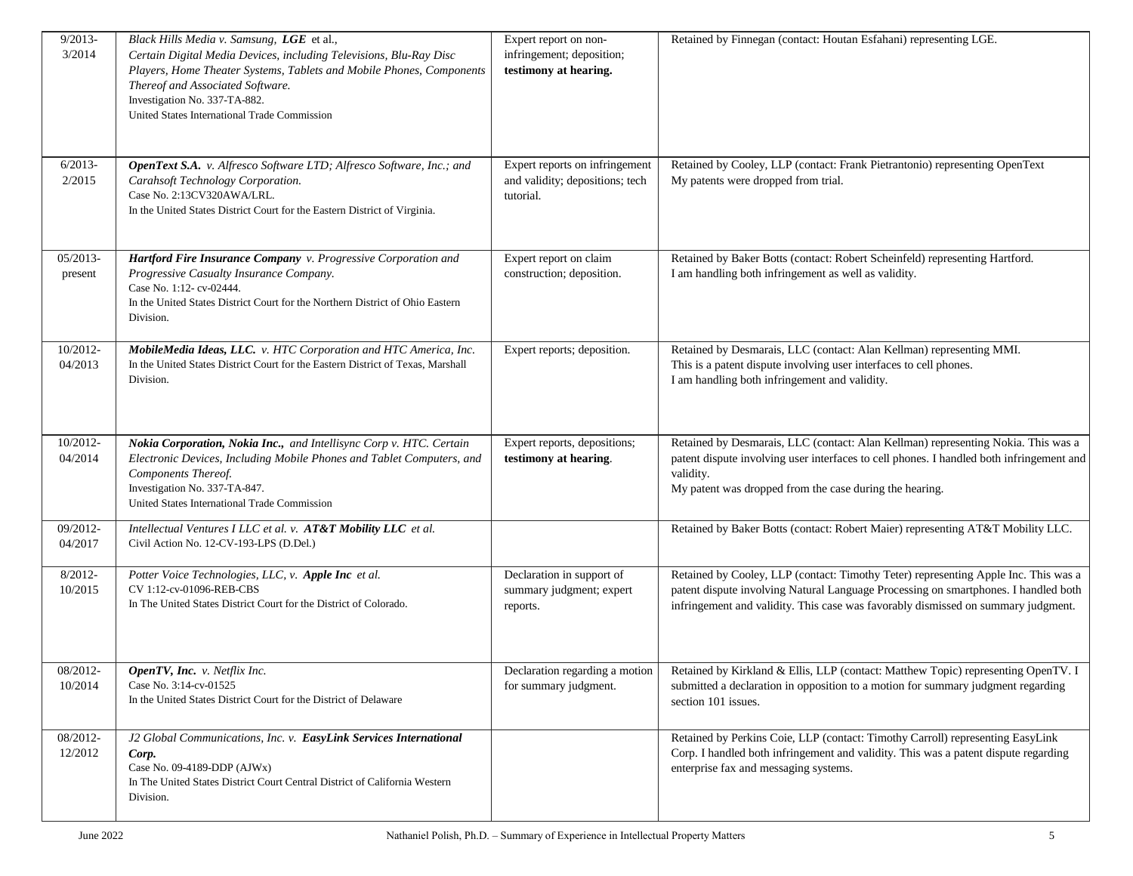| $9/2013 -$          | Black Hills Media v. Samsung, LGE et al.,                                       | Expert report on non-           | Retained by Finnegan (contact: Houtan Esfahani) representing LGE.                                                  |
|---------------------|---------------------------------------------------------------------------------|---------------------------------|--------------------------------------------------------------------------------------------------------------------|
| 3/2014              | Certain Digital Media Devices, including Televisions, Blu-Ray Disc              | infringement; deposition;       |                                                                                                                    |
|                     | Players, Home Theater Systems, Tablets and Mobile Phones, Components            | testimony at hearing.           |                                                                                                                    |
|                     | Thereof and Associated Software.                                                |                                 |                                                                                                                    |
|                     | Investigation No. 337-TA-882.                                                   |                                 |                                                                                                                    |
|                     | United States International Trade Commission                                    |                                 |                                                                                                                    |
|                     |                                                                                 |                                 |                                                                                                                    |
|                     |                                                                                 |                                 |                                                                                                                    |
| $6/2013-$           | OpenText S.A. v. Alfresco Software LTD; Alfresco Software, Inc.; and            | Expert reports on infringement  | Retained by Cooley, LLP (contact: Frank Pietrantonio) representing OpenText                                        |
| 2/2015              | Carahsoft Technology Corporation.                                               | and validity; depositions; tech | My patents were dropped from trial.                                                                                |
|                     | Case No. 2:13CV320AWA/LRL.                                                      | tutorial.                       |                                                                                                                    |
|                     | In the United States District Court for the Eastern District of Virginia.       |                                 |                                                                                                                    |
|                     |                                                                                 |                                 |                                                                                                                    |
|                     |                                                                                 |                                 |                                                                                                                    |
| 05/2013-            | Hartford Fire Insurance Company v. Progressive Corporation and                  | Expert report on claim          | Retained by Baker Botts (contact: Robert Scheinfeld) representing Hartford.                                        |
| present             | Progressive Casualty Insurance Company.                                         | construction; deposition.       | I am handling both infringement as well as validity.                                                               |
|                     | Case No. 1:12-cv-02444.                                                         |                                 |                                                                                                                    |
|                     | In the United States District Court for the Northern District of Ohio Eastern   |                                 |                                                                                                                    |
|                     | Division.                                                                       |                                 |                                                                                                                    |
|                     |                                                                                 |                                 |                                                                                                                    |
| 10/2012-            | MobileMedia Ideas, LLC. v. HTC Corporation and HTC America, Inc.                | Expert reports; deposition.     | Retained by Desmarais, LLC (contact: Alan Kellman) representing MMI.                                               |
| 04/2013             | In the United States District Court for the Eastern District of Texas, Marshall |                                 | This is a patent dispute involving user interfaces to cell phones.                                                 |
|                     | Division.                                                                       |                                 | I am handling both infringement and validity.                                                                      |
|                     |                                                                                 |                                 |                                                                                                                    |
|                     |                                                                                 |                                 |                                                                                                                    |
| 10/2012-            | Nokia Corporation, Nokia Inc., and Intellisync Corp v. HTC. Certain             | Expert reports, depositions;    | Retained by Desmarais, LLC (contact: Alan Kellman) representing Nokia. This was a                                  |
| 04/2014             | Electronic Devices, Including Mobile Phones and Tablet Computers, and           | testimony at hearing.           | patent dispute involving user interfaces to cell phones. I handled both infringement and                           |
|                     | Components Thereof.                                                             |                                 | validity.                                                                                                          |
|                     | Investigation No. 337-TA-847.                                                   |                                 | My patent was dropped from the case during the hearing.                                                            |
|                     | United States International Trade Commission                                    |                                 |                                                                                                                    |
|                     |                                                                                 |                                 |                                                                                                                    |
| 09/2012-            | Intellectual Ventures I LLC et al. v. AT&T Mobility LLC et al.                  |                                 | Retained by Baker Botts (contact: Robert Maier) representing AT&T Mobility LLC.                                    |
| 04/2017             | Civil Action No. 12-CV-193-LPS (D.Del.)                                         |                                 |                                                                                                                    |
|                     |                                                                                 |                                 |                                                                                                                    |
| $8/2012 -$          | Potter Voice Technologies, LLC, v. Apple Inc et al.<br>CV 1:12-cv-01096-REB-CBS | Declaration in support of       | Retained by Cooley, LLP (contact: Timothy Teter) representing Apple Inc. This was a                                |
| 10/2015             | In The United States District Court for the District of Colorado.               | summary judgment; expert        | patent dispute involving Natural Language Processing on smartphones. I handled both                                |
|                     |                                                                                 | reports.                        | infringement and validity. This case was favorably dismissed on summary judgment.                                  |
|                     |                                                                                 |                                 |                                                                                                                    |
|                     |                                                                                 |                                 |                                                                                                                    |
|                     |                                                                                 |                                 |                                                                                                                    |
| 08/2012-<br>10/2014 | OpenTV, Inc. v. Netflix Inc.<br>Case No. 3:14-cv-01525                          |                                 | Declaration regarding a motion   Retained by Kirkland & Ellis, LLP (contact: Matthew Topic) representing OpenTV. I |
|                     | In the United States District Court for the District of Delaware                | for summary judgment.           | submitted a declaration in opposition to a motion for summary judgment regarding<br>section 101 issues.            |
|                     |                                                                                 |                                 |                                                                                                                    |
|                     |                                                                                 |                                 |                                                                                                                    |
| 08/2012-            | J2 Global Communications, Inc. v. EasyLink Services International               |                                 | Retained by Perkins Coie, LLP (contact: Timothy Carroll) representing EasyLink                                     |
| 12/2012             | Corp.<br>Case No. 09-4189-DDP (AJWx)                                            |                                 | Corp. I handled both infringement and validity. This was a patent dispute regarding                                |
|                     | In The United States District Court Central District of California Western      |                                 | enterprise fax and messaging systems.                                                                              |
|                     | Division.                                                                       |                                 |                                                                                                                    |
|                     |                                                                                 |                                 |                                                                                                                    |
|                     |                                                                                 |                                 |                                                                                                                    |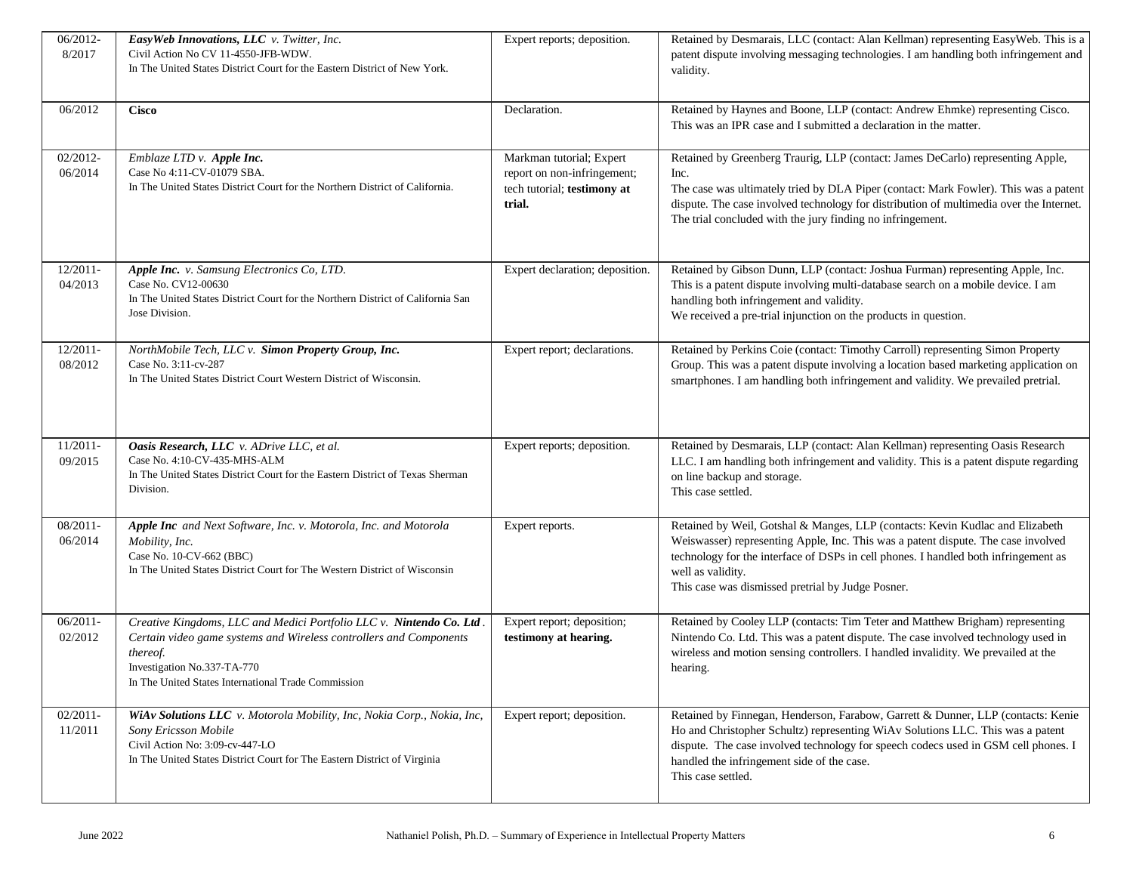| 06/2012-    | EasyWeb Innovations, LLC v. Twitter, Inc.                                       | Expert reports; deposition.     | Retained by Desmarais, LLC (contact: Alan Kellman) representing EasyWeb. This is a      |
|-------------|---------------------------------------------------------------------------------|---------------------------------|-----------------------------------------------------------------------------------------|
| 8/2017      | Civil Action No CV 11-4550-JFB-WDW.                                             |                                 | patent dispute involving messaging technologies. I am handling both infringement and    |
|             | In The United States District Court for the Eastern District of New York.       |                                 | validity.                                                                               |
|             |                                                                                 |                                 |                                                                                         |
| 06/2012     | <b>Cisco</b>                                                                    | Declaration.                    | Retained by Haynes and Boone, LLP (contact: Andrew Ehmke) representing Cisco.           |
|             |                                                                                 |                                 | This was an IPR case and I submitted a declaration in the matter.                       |
|             |                                                                                 |                                 |                                                                                         |
| 02/2012-    | Emblaze LTD v. Apple Inc.                                                       | Markman tutorial; Expert        | Retained by Greenberg Traurig, LLP (contact: James DeCarlo) representing Apple,         |
| 06/2014     | Case No 4:11-CV-01079 SBA.                                                      | report on non-infringement;     | Inc.                                                                                    |
|             | In The United States District Court for the Northern District of California.    | tech tutorial; testimony at     | The case was ultimately tried by DLA Piper (contact: Mark Fowler). This was a patent    |
|             |                                                                                 | trial.                          | dispute. The case involved technology for distribution of multimedia over the Internet. |
|             |                                                                                 |                                 | The trial concluded with the jury finding no infringement.                              |
|             |                                                                                 |                                 |                                                                                         |
|             |                                                                                 |                                 |                                                                                         |
| $12/2011-$  | Apple Inc. v. Samsung Electronics Co, LTD.                                      | Expert declaration; deposition. | Retained by Gibson Dunn, LLP (contact: Joshua Furman) representing Apple, Inc.          |
| 04/2013     | Case No. CV12-00630                                                             |                                 | This is a patent dispute involving multi-database search on a mobile device. I am       |
|             | In The United States District Court for the Northern District of California San |                                 | handling both infringement and validity.                                                |
|             | Jose Division.                                                                  |                                 | We received a pre-trial injunction on the products in question.                         |
|             |                                                                                 |                                 |                                                                                         |
| $12/2011-$  | NorthMobile Tech, LLC v. Simon Property Group, Inc.                             | Expert report; declarations.    | Retained by Perkins Coie (contact: Timothy Carroll) representing Simon Property         |
| 08/2012     | Case No. 3:11-cv-287                                                            |                                 | Group. This was a patent dispute involving a location based marketing application on    |
|             | In The United States District Court Western District of Wisconsin.              |                                 | smartphones. I am handling both infringement and validity. We prevailed pretrial.       |
|             |                                                                                 |                                 |                                                                                         |
|             |                                                                                 |                                 |                                                                                         |
|             |                                                                                 |                                 |                                                                                         |
| $11/2011-$  | Oasis Research, LLC v. ADrive LLC, et al.                                       | Expert reports; deposition.     | Retained by Desmarais, LLP (contact: Alan Kellman) representing Oasis Research          |
| 09/2015     | Case No. 4:10-CV-435-MHS-ALM                                                    |                                 | LLC. I am handling both infringement and validity. This is a patent dispute regarding   |
|             | In The United States District Court for the Eastern District of Texas Sherman   |                                 | on line backup and storage.                                                             |
|             | Division.                                                                       |                                 | This case settled.                                                                      |
|             |                                                                                 |                                 |                                                                                         |
| 08/2011-    | Apple Inc and Next Software, Inc. v. Motorola, Inc. and Motorola                | Expert reports.                 | Retained by Weil, Gotshal & Manges, LLP (contacts: Kevin Kudlac and Elizabeth           |
| 06/2014     | Mobility, Inc.                                                                  |                                 | Weiswasser) representing Apple, Inc. This was a patent dispute. The case involved       |
|             | Case No. 10-CV-662 (BBC)                                                        |                                 | technology for the interface of DSPs in cell phones. I handled both infringement as     |
|             | In The United States District Court for The Western District of Wisconsin       |                                 | well as validity.                                                                       |
|             |                                                                                 |                                 | This case was dismissed pretrial by Judge Posner.                                       |
|             |                                                                                 |                                 |                                                                                         |
| $06/2011 -$ | Creative Kingdoms, LLC and Medici Portfolio LLC v. Nintendo Co. Ltd.            | Expert report; deposition;      | Retained by Cooley LLP (contacts: Tim Teter and Matthew Brigham) representing           |
| 02/2012     | Certain video game systems and Wireless controllers and Components              | testimony at hearing.           | Nintendo Co. Ltd. This was a patent dispute. The case involved technology used in       |
|             | thereof.                                                                        |                                 | wireless and motion sensing controllers. I handled invalidity. We prevailed at the      |
|             | Investigation No.337-TA-770                                                     |                                 | hearing.                                                                                |
|             | In The United States International Trade Commission                             |                                 |                                                                                         |
|             |                                                                                 |                                 |                                                                                         |
| $02/2011-$  | WiAv Solutions LLC v. Motorola Mobility, Inc, Nokia Corp., Nokia, Inc,          | Expert report; deposition.      | Retained by Finnegan, Henderson, Farabow, Garrett & Dunner, LLP (contacts: Kenie        |
| 11/2011     | Sony Ericsson Mobile                                                            |                                 | Ho and Christopher Schultz) representing WiAv Solutions LLC. This was a patent          |
|             | Civil Action No: 3:09-cv-447-LO                                                 |                                 | dispute. The case involved technology for speech codecs used in GSM cell phones. I      |
|             | In The United States District Court for The Eastern District of Virginia        |                                 | handled the infringement side of the case.                                              |
|             |                                                                                 |                                 | This case settled.                                                                      |
|             |                                                                                 |                                 |                                                                                         |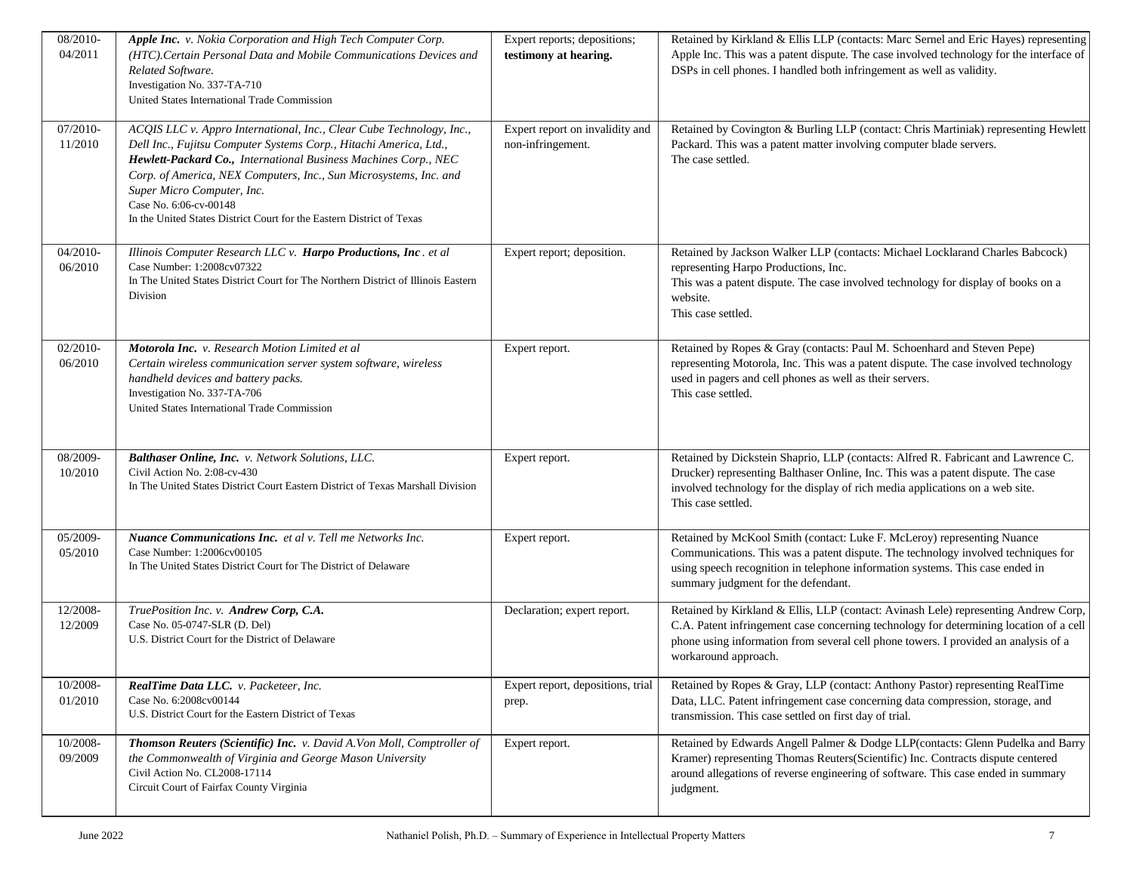| 08/2010-<br>04/2011 | Apple Inc. v. Nokia Corporation and High Tech Computer Corp.<br>(HTC). Certain Personal Data and Mobile Communications Devices and<br>Related Software.<br>Investigation No. 337-TA-710<br>United States International Trade Commission                                                                                                                                                                            | Expert reports; depositions;<br>testimony at hearing. | Retained by Kirkland & Ellis LLP (contacts: Marc Sernel and Eric Hayes) representing<br>Apple Inc. This was a patent dispute. The case involved technology for the interface of<br>DSPs in cell phones. I handled both infringement as well as validity.                                     |
|---------------------|--------------------------------------------------------------------------------------------------------------------------------------------------------------------------------------------------------------------------------------------------------------------------------------------------------------------------------------------------------------------------------------------------------------------|-------------------------------------------------------|----------------------------------------------------------------------------------------------------------------------------------------------------------------------------------------------------------------------------------------------------------------------------------------------|
| 07/2010-<br>11/2010 | ACQIS LLC v. Appro International, Inc., Clear Cube Technology, Inc.,<br>Dell Inc., Fujitsu Computer Systems Corp., Hitachi America, Ltd.,<br>Hewlett-Packard Co., International Business Machines Corp., NEC<br>Corp. of America, NEX Computers, Inc., Sun Microsystems, Inc. and<br>Super Micro Computer, Inc.<br>Case No. 6:06-cv-00148<br>In the United States District Court for the Eastern District of Texas | Expert report on invalidity and<br>non-infringement.  | Retained by Covington & Burling LLP (contact: Chris Martiniak) representing Hewlett<br>Packard. This was a patent matter involving computer blade servers.<br>The case settled.                                                                                                              |
| 04/2010-<br>06/2010 | Illinois Computer Research LLC v. Harpo Productions, Inc. et al<br>Case Number: 1:2008cv07322<br>In The United States District Court for The Northern District of Illinois Eastern<br>Division                                                                                                                                                                                                                     | Expert report; deposition.                            | Retained by Jackson Walker LLP (contacts: Michael Locklarand Charles Babcock)<br>representing Harpo Productions, Inc.<br>This was a patent dispute. The case involved technology for display of books on a<br>website.<br>This case settled.                                                 |
| 02/2010-<br>06/2010 | Motorola Inc. v. Research Motion Limited et al<br>Certain wireless communication server system software, wireless<br>handheld devices and battery packs.<br>Investigation No. 337-TA-706<br>United States International Trade Commission                                                                                                                                                                           | Expert report.                                        | Retained by Ropes & Gray (contacts: Paul M. Schoenhard and Steven Pepe)<br>representing Motorola, Inc. This was a patent dispute. The case involved technology<br>used in pagers and cell phones as well as their servers.<br>This case settled.                                             |
| 08/2009-<br>10/2010 | Balthaser Online, Inc. v. Network Solutions, LLC.<br>Civil Action No. 2:08-cv-430<br>In The United States District Court Eastern District of Texas Marshall Division                                                                                                                                                                                                                                               | Expert report.                                        | Retained by Dickstein Shaprio, LLP (contacts: Alfred R. Fabricant and Lawrence C.<br>Drucker) representing Balthaser Online, Inc. This was a patent dispute. The case<br>involved technology for the display of rich media applications on a web site.<br>This case settled.                 |
| 05/2009-<br>05/2010 | Nuance Communications Inc. et al v. Tell me Networks Inc.<br>Case Number: 1:2006cv00105<br>In The United States District Court for The District of Delaware                                                                                                                                                                                                                                                        | Expert report.                                        | Retained by McKool Smith (contact: Luke F. McLeroy) representing Nuance<br>Communications. This was a patent dispute. The technology involved techniques for<br>using speech recognition in telephone information systems. This case ended in<br>summary judgment for the defendant.         |
| 12/2008-<br>12/2009 | TruePosition Inc. v. Andrew Corp, C.A.<br>Case No. 05-0747-SLR (D. Del)<br>U.S. District Court for the District of Delaware                                                                                                                                                                                                                                                                                        | Declaration; expert report.                           | Retained by Kirkland & Ellis, LLP (contact: Avinash Lele) representing Andrew Corp,<br>C.A. Patent infringement case concerning technology for determining location of a cell<br>phone using information from several cell phone towers. I provided an analysis of a<br>workaround approach. |
| 10/2008-<br>01/2010 | RealTime Data LLC. v. Packeteer, Inc.<br>Case No. 6:2008cv00144<br>U.S. District Court for the Eastern District of Texas                                                                                                                                                                                                                                                                                           | Expert report, depositions, trial<br>prep.            | Retained by Ropes & Gray, LLP (contact: Anthony Pastor) representing RealTime<br>Data, LLC. Patent infringement case concerning data compression, storage, and<br>transmission. This case settled on first day of trial.                                                                     |
| 10/2008-<br>09/2009 | Thomson Reuters (Scientific) Inc. v. David A.Von Moll, Comptroller of<br>the Commonwealth of Virginia and George Mason University<br>Civil Action No. CL2008-17114<br>Circuit Court of Fairfax County Virginia                                                                                                                                                                                                     | Expert report.                                        | Retained by Edwards Angell Palmer & Dodge LLP(contacts: Glenn Pudelka and Barry<br>Kramer) representing Thomas Reuters(Scientific) Inc. Contracts dispute centered<br>around allegations of reverse engineering of software. This case ended in summary<br>judgment.                         |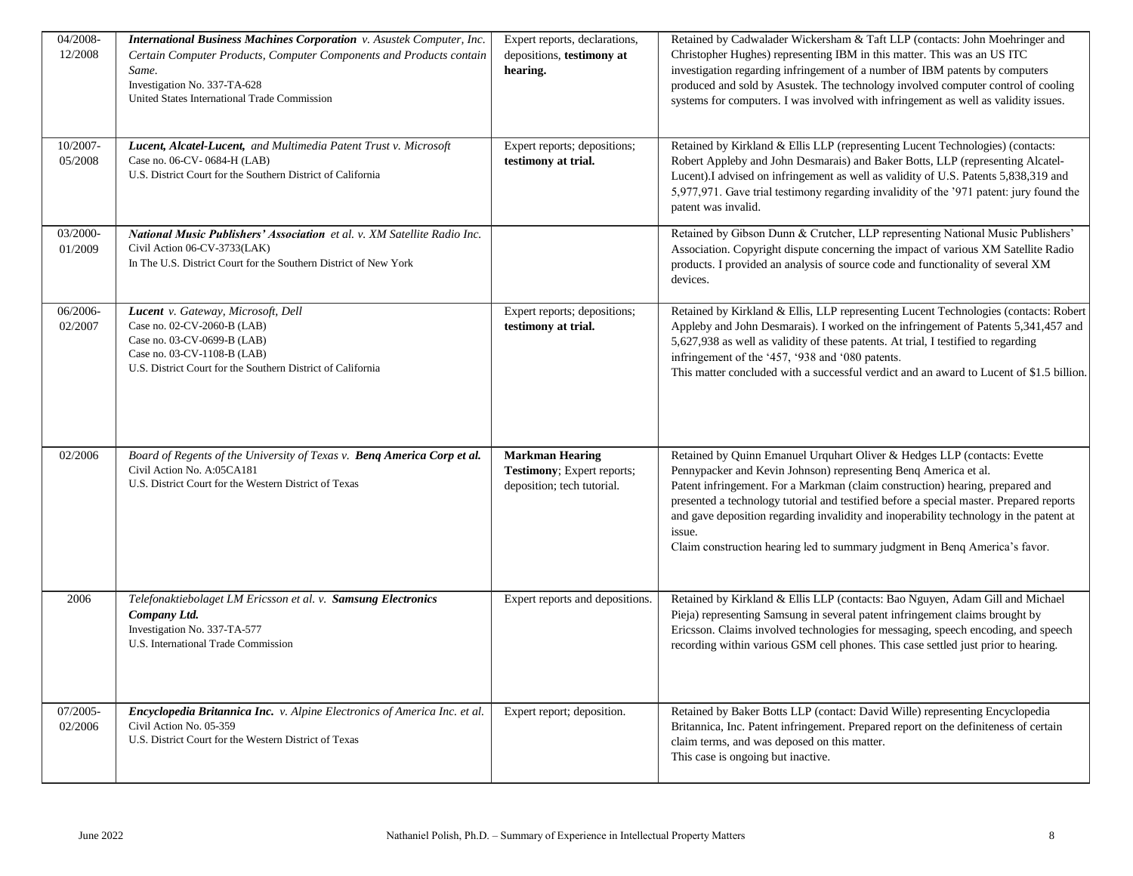| 04/2008-    | <b>International Business Machines Corporation</b> v. Asustek Computer, Inc.                             | Expert reports, declarations,   | Retained by Cadwalader Wickersham & Taft LLP (contacts: John Moehringer and                                                                                           |
|-------------|----------------------------------------------------------------------------------------------------------|---------------------------------|-----------------------------------------------------------------------------------------------------------------------------------------------------------------------|
| 12/2008     | Certain Computer Products, Computer Components and Products contain                                      | depositions, testimony at       | Christopher Hughes) representing IBM in this matter. This was an US ITC                                                                                               |
|             | Same.                                                                                                    | hearing.                        | investigation regarding infringement of a number of IBM patents by computers                                                                                          |
|             | Investigation No. 337-TA-628                                                                             |                                 | produced and sold by Asustek. The technology involved computer control of cooling                                                                                     |
|             | United States International Trade Commission                                                             |                                 | systems for computers. I was involved with infringement as well as validity issues.                                                                                   |
|             |                                                                                                          |                                 |                                                                                                                                                                       |
| 10/2007-    | Lucent, Alcatel-Lucent, and Multimedia Patent Trust v. Microsoft                                         | Expert reports; depositions;    | Retained by Kirkland & Ellis LLP (representing Lucent Technologies) (contacts:                                                                                        |
| 05/2008     | Case no. 06-CV-0684-H (LAB)                                                                              | testimony at trial.             | Robert Appleby and John Desmarais) and Baker Botts, LLP (representing Alcatel-                                                                                        |
|             | U.S. District Court for the Southern District of California                                              |                                 | Lucent).I advised on infringement as well as validity of U.S. Patents 5,838,319 and                                                                                   |
|             |                                                                                                          |                                 | 5,977,971. Gave trial testimony regarding invalidity of the '971 patent: jury found the                                                                               |
|             |                                                                                                          |                                 | patent was invalid.                                                                                                                                                   |
|             |                                                                                                          |                                 |                                                                                                                                                                       |
| 03/2000-    | National Music Publishers' Association et al. v. XM Satellite Radio Inc.<br>Civil Action 06-CV-3733(LAK) |                                 | Retained by Gibson Dunn & Crutcher, LLP representing National Music Publishers'                                                                                       |
| 01/2009     | In The U.S. District Court for the Southern District of New York                                         |                                 | Association. Copyright dispute concerning the impact of various XM Satellite Radio<br>products. I provided an analysis of source code and functionality of several XM |
|             |                                                                                                          |                                 | devices.                                                                                                                                                              |
|             |                                                                                                          |                                 |                                                                                                                                                                       |
| 06/2006-    | Lucent v. Gateway, Microsoft, Dell                                                                       | Expert reports; depositions;    | Retained by Kirkland & Ellis, LLP representing Lucent Technologies (contacts: Robert                                                                                  |
| 02/2007     | Case no. 02-CV-2060-B (LAB)                                                                              | testimony at trial.             | Appleby and John Desmarais). I worked on the infringement of Patents 5,341,457 and                                                                                    |
|             | Case no. 03-CV-0699-B (LAB)                                                                              |                                 | 5,627,938 as well as validity of these patents. At trial, I testified to regarding                                                                                    |
|             | Case no. 03-CV-1108-B (LAB)                                                                              |                                 | infringement of the '457, '938 and '080 patents.                                                                                                                      |
|             | U.S. District Court for the Southern District of California                                              |                                 | This matter concluded with a successful verdict and an award to Lucent of \$1.5 billion.                                                                              |
|             |                                                                                                          |                                 |                                                                                                                                                                       |
|             |                                                                                                          |                                 |                                                                                                                                                                       |
|             |                                                                                                          |                                 |                                                                                                                                                                       |
| 02/2006     | Board of Regents of the University of Texas v. Benq America Corp et al.                                  | <b>Markman Hearing</b>          | Retained by Quinn Emanuel Urquhart Oliver & Hedges LLP (contacts: Evette                                                                                              |
|             | Civil Action No. A:05CA181                                                                               | Testimony; Expert reports;      | Pennypacker and Kevin Johnson) representing Benq America et al.                                                                                                       |
|             | U.S. District Court for the Western District of Texas                                                    | deposition; tech tutorial.      | Patent infringement. For a Markman (claim construction) hearing, prepared and                                                                                         |
|             |                                                                                                          |                                 | presented a technology tutorial and testified before a special master. Prepared reports                                                                               |
|             |                                                                                                          |                                 | and gave deposition regarding invalidity and inoperability technology in the patent at                                                                                |
|             |                                                                                                          |                                 | issue.                                                                                                                                                                |
|             |                                                                                                          |                                 | Claim construction hearing led to summary judgment in Benq America's favor.                                                                                           |
|             |                                                                                                          |                                 |                                                                                                                                                                       |
|             |                                                                                                          |                                 |                                                                                                                                                                       |
| 2006        | Telefonaktiebolaget LM Ericsson et al. v. Samsung Electronics                                            | Expert reports and depositions. | Retained by Kirkland & Ellis LLP (contacts: Bao Nguyen, Adam Gill and Michael                                                                                         |
|             | Company Ltd.                                                                                             |                                 | Pieja) representing Samsung in several patent infringement claims brought by                                                                                          |
|             | Investigation No. 337-TA-577                                                                             |                                 | Ericsson. Claims involved technologies for messaging, speech encoding, and speech                                                                                     |
|             | U.S. International Trade Commission                                                                      |                                 | recording within various GSM cell phones. This case settled just prior to hearing.                                                                                    |
|             |                                                                                                          |                                 |                                                                                                                                                                       |
|             |                                                                                                          |                                 |                                                                                                                                                                       |
| $07/2005 -$ | Encyclopedia Britannica Inc. v. Alpine Electronics of America Inc. et al.                                | Expert report; deposition.      | Retained by Baker Botts LLP (contact: David Wille) representing Encyclopedia                                                                                          |
| 02/2006     | Civil Action No. 05-359                                                                                  |                                 | Britannica, Inc. Patent infringement. Prepared report on the definiteness of certain                                                                                  |
|             | U.S. District Court for the Western District of Texas                                                    |                                 | claim terms, and was deposed on this matter.                                                                                                                          |
|             |                                                                                                          |                                 | This case is ongoing but inactive.                                                                                                                                    |
|             |                                                                                                          |                                 |                                                                                                                                                                       |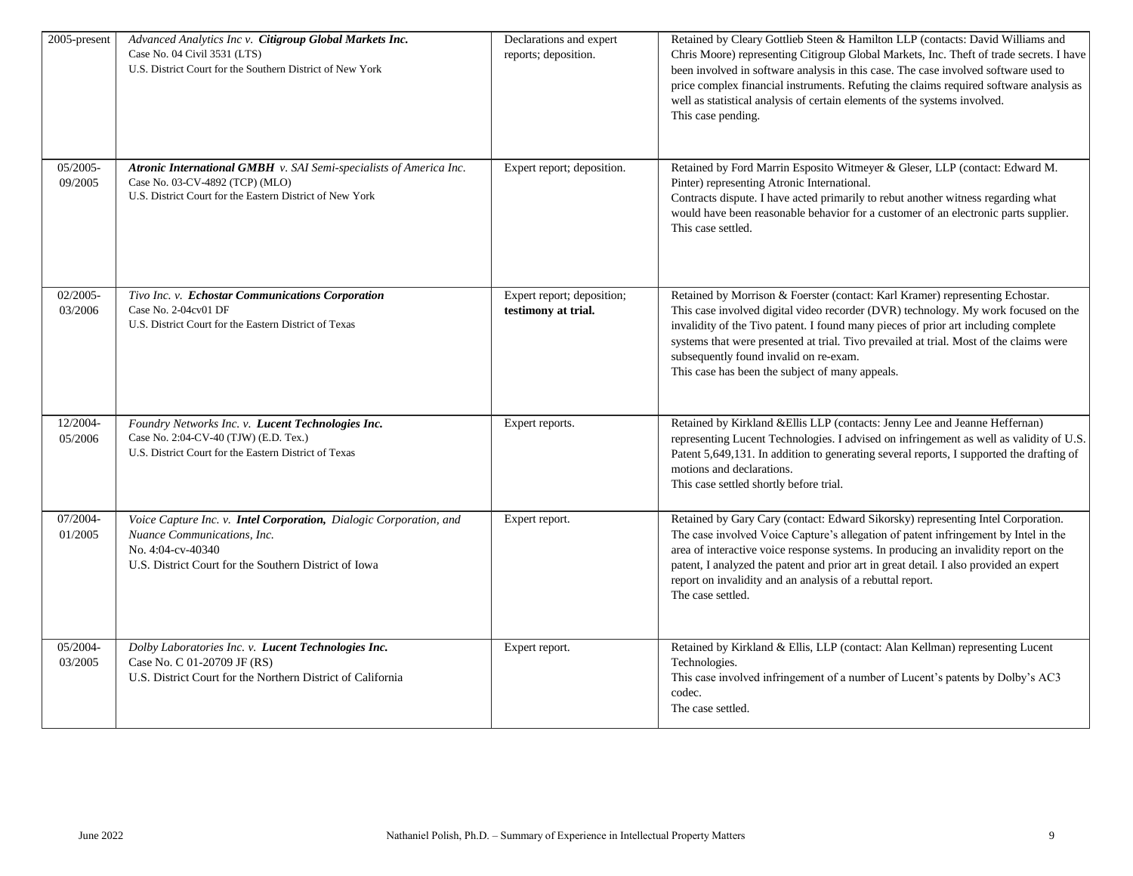| 2005-present           | Advanced Analytics Inc v. Citigroup Global Markets Inc.<br>Case No. 04 Civil 3531 (LTS)<br>U.S. District Court for the Southern District of New York                            | Declarations and expert<br>reports; deposition.   | Retained by Cleary Gottlieb Steen & Hamilton LLP (contacts: David Williams and<br>Chris Moore) representing Citigroup Global Markets, Inc. Theft of trade secrets. I have<br>been involved in software analysis in this case. The case involved software used to<br>price complex financial instruments. Refuting the claims required software analysis as<br>well as statistical analysis of certain elements of the systems involved.<br>This case pending. |
|------------------------|---------------------------------------------------------------------------------------------------------------------------------------------------------------------------------|---------------------------------------------------|---------------------------------------------------------------------------------------------------------------------------------------------------------------------------------------------------------------------------------------------------------------------------------------------------------------------------------------------------------------------------------------------------------------------------------------------------------------|
| $05/2005 -$<br>09/2005 | Atronic International GMBH v. SAI Semi-specialists of America Inc.<br>Case No. 03-CV-4892 (TCP) (MLO)<br>U.S. District Court for the Eastern District of New York               | Expert report; deposition.                        | Retained by Ford Marrin Esposito Witmeyer & Gleser, LLP (contact: Edward M.<br>Pinter) representing Atronic International.<br>Contracts dispute. I have acted primarily to rebut another witness regarding what<br>would have been reasonable behavior for a customer of an electronic parts supplier.<br>This case settled.                                                                                                                                  |
| $02/2005 -$<br>03/2006 | Tivo Inc. v. Echostar Communications Corporation<br>Case No. 2-04cv01 DF<br>U.S. District Court for the Eastern District of Texas                                               | Expert report; deposition;<br>testimony at trial. | Retained by Morrison & Foerster (contact: Karl Kramer) representing Echostar.<br>This case involved digital video recorder (DVR) technology. My work focused on the<br>invalidity of the Tivo patent. I found many pieces of prior art including complete<br>systems that were presented at trial. Tivo prevailed at trial. Most of the claims were<br>subsequently found invalid on re-exam.<br>This case has been the subject of many appeals.              |
| 12/2004-<br>05/2006    | Foundry Networks Inc. v. Lucent Technologies Inc.<br>Case No. 2:04-CV-40 (TJW) (E.D. Tex.)<br>U.S. District Court for the Eastern District of Texas                             | Expert reports.                                   | Retained by Kirkland &Ellis LLP (contacts: Jenny Lee and Jeanne Heffernan)<br>representing Lucent Technologies. I advised on infringement as well as validity of U.S.<br>Patent 5,649,131. In addition to generating several reports, I supported the drafting of<br>motions and declarations.<br>This case settled shortly before trial.                                                                                                                     |
| 07/2004-<br>01/2005    | Voice Capture Inc. v. Intel Corporation, Dialogic Corporation, and<br>Nuance Communications, Inc.<br>No. 4:04-cv-40340<br>U.S. District Court for the Southern District of Iowa | Expert report.                                    | Retained by Gary Cary (contact: Edward Sikorsky) representing Intel Corporation.<br>The case involved Voice Capture's allegation of patent infringement by Intel in the<br>area of interactive voice response systems. In producing an invalidity report on the<br>patent, I analyzed the patent and prior art in great detail. I also provided an expert<br>report on invalidity and an analysis of a rebuttal report.<br>The case settled.                  |
| 05/2004-<br>03/2005    | Dolby Laboratories Inc. v. Lucent Technologies Inc.<br>Case No. C 01-20709 JF (RS)<br>U.S. District Court for the Northern District of California                               | Expert report.                                    | Retained by Kirkland & Ellis, LLP (contact: Alan Kellman) representing Lucent<br>Technologies.<br>This case involved infringement of a number of Lucent's patents by Dolby's AC3<br>codec.<br>The case settled.                                                                                                                                                                                                                                               |